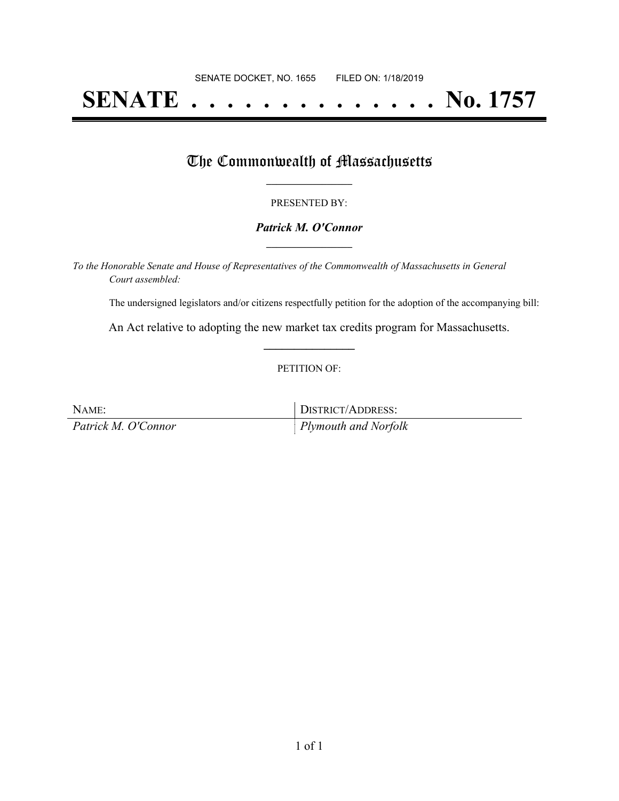# **SENATE . . . . . . . . . . . . . . No. 1757**

### The Commonwealth of Massachusetts

#### PRESENTED BY:

#### *Patrick M. O'Connor* **\_\_\_\_\_\_\_\_\_\_\_\_\_\_\_\_\_**

*To the Honorable Senate and House of Representatives of the Commonwealth of Massachusetts in General Court assembled:*

The undersigned legislators and/or citizens respectfully petition for the adoption of the accompanying bill:

An Act relative to adopting the new market tax credits program for Massachusetts. **\_\_\_\_\_\_\_\_\_\_\_\_\_\_\_**

#### PETITION OF:

| NAME:               | DISTRICT/ADDRESS:                |
|---------------------|----------------------------------|
| Patrick M. O'Connor | $\parallel$ Plymouth and Norfolk |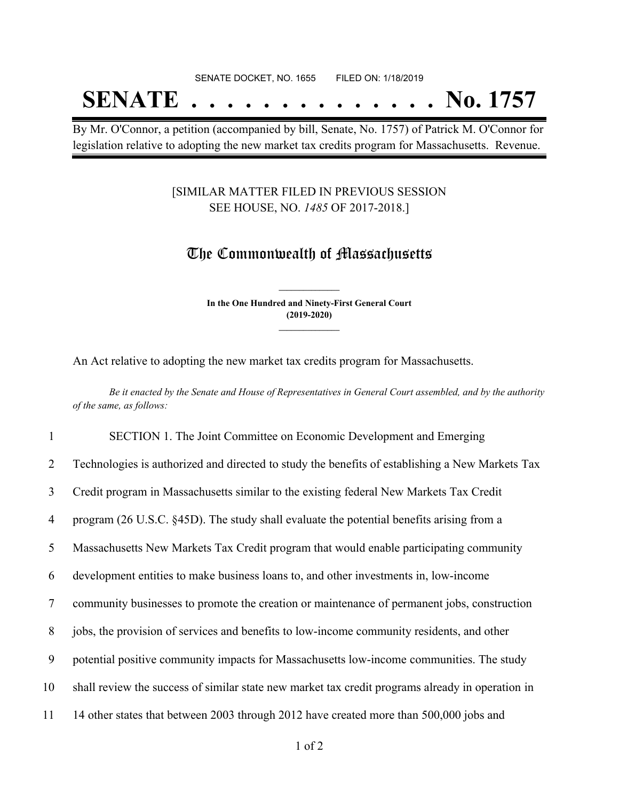# SENATE DOCKET, NO. 1655 FILED ON: 1/18/2019 **SENATE . . . . . . . . . . . . . . No. 1757**

By Mr. O'Connor, a petition (accompanied by bill, Senate, No. 1757) of Patrick M. O'Connor for legislation relative to adopting the new market tax credits program for Massachusetts. Revenue.

#### [SIMILAR MATTER FILED IN PREVIOUS SESSION SEE HOUSE, NO. *1485* OF 2017-2018.]

## The Commonwealth of Massachusetts

**In the One Hundred and Ninety-First General Court (2019-2020) \_\_\_\_\_\_\_\_\_\_\_\_\_\_\_**

**\_\_\_\_\_\_\_\_\_\_\_\_\_\_\_**

An Act relative to adopting the new market tax credits program for Massachusetts.

Be it enacted by the Senate and House of Representatives in General Court assembled, and by the authority *of the same, as follows:*

 SECTION 1. The Joint Committee on Economic Development and Emerging Technologies is authorized and directed to study the benefits of establishing a New Markets Tax Credit program in Massachusetts similar to the existing federal New Markets Tax Credit program (26 U.S.C. §45D). The study shall evaluate the potential benefits arising from a Massachusetts New Markets Tax Credit program that would enable participating community development entities to make business loans to, and other investments in, low-income community businesses to promote the creation or maintenance of permanent jobs, construction jobs, the provision of services and benefits to low-income community residents, and other potential positive community impacts for Massachusetts low-income communities. The study shall review the success of similar state new market tax credit programs already in operation in 14 other states that between 2003 through 2012 have created more than 500,000 jobs and